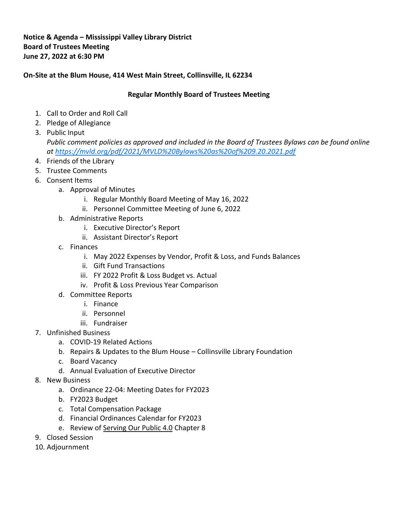## **Notice & Agenda – Mississippi Valley Library District Board of Trustees Meeting June 27, 2022 at 6:30 PM**

## **On-Site at the Blum House, 414 West Main Street, Collinsville, IL 62234**

## **Regular Monthly Board of Trustees Meeting**

- 1. Call to Order and Roll Call
- 2. Pledge of Allegiance
- 3. Public Input *Public comment policies as approved and included in the Board of Trustees Bylaws can be found online at<https://mvld.org/pdf/2021/MVLD%20Bylaws%20as%20of%209.20.2021.pdf>*
- 4. Friends of the Library
- 5. Trustee Comments
- 6. Consent Items
	- a. Approval of Minutes
		- i. Regular Monthly Board Meeting of May 16, 2022
		- ii. Personnel Committee Meeting of June 6, 2022
	- b. Administrative Reports
		- i. Executive Director's Report
		- ii. Assistant Director's Report
	- c. Finances
		- i. May 2022 Expenses by Vendor, Profit & Loss, and Funds Balances
		- ii. Gift Fund Transactions
		- iii. FY 2022 Profit & Loss Budget vs. Actual
		- iv. Profit & Loss Previous Year Comparison
	- d. Committee Reports
		- i. Finance
		- ii. Personnel
		- iii. Fundraiser
- 7. Unfinished Business
	- a. COVID-19 Related Actions
	- b. Repairs & Updates to the Blum House Collinsville Library Foundation
	- c. Board Vacancy
	- d. Annual Evaluation of Executive Director
- 8. New Business
	- a. Ordinance 22-04: Meeting Dates for FY2023
	- b. FY2023 Budget
	- c. Total Compensation Package
	- d. Financial Ordinances Calendar for FY2023
	- e. Review of Serving Our Public 4.0 Chapter 8
- 9. Closed Session
- 10. Adjournment